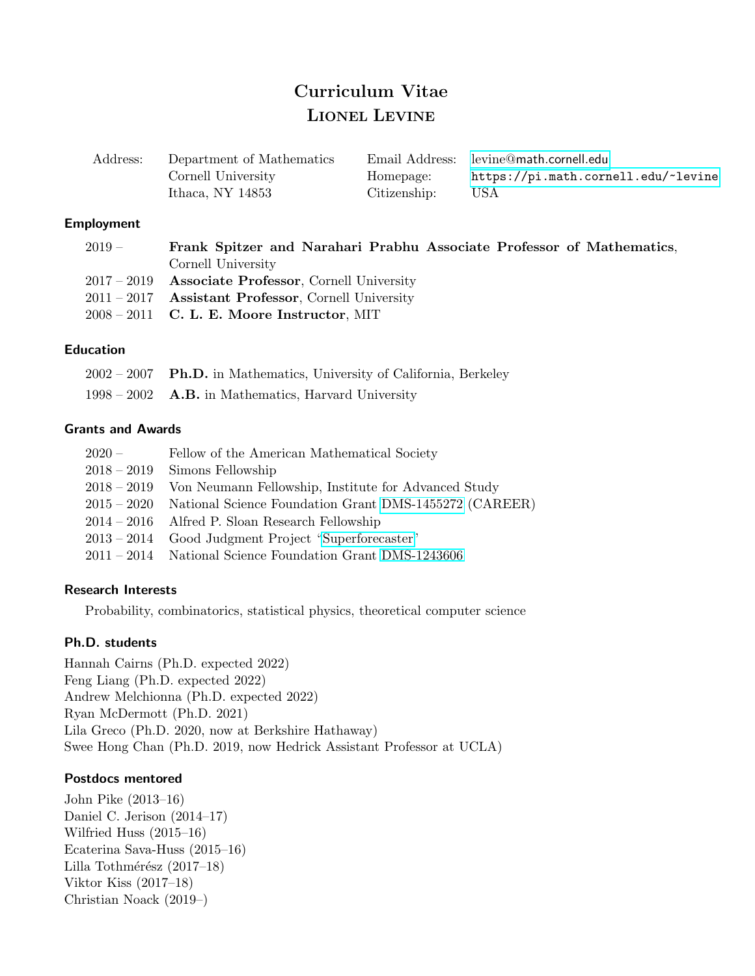# Curriculum Vitae LIONEL LEVINE

| Address: | Department of Mathematics |              | Email Address: levine@math.cornell.edu |
|----------|---------------------------|--------------|----------------------------------------|
|          | Cornell University        | Homepage:    | https://pi.math.cornell.edu/~levine    |
|          | Ithaca, NY $14853$        | Citizenship: | USA.                                   |

#### Employment

| $2019-$ | Frank Spitzer and Narahari Prabhu Associate Professor of Mathematics, |
|---------|-----------------------------------------------------------------------|
|         | Cornell University                                                    |
|         | $2017 - 2019$ Associate Professor, Cornell University                 |
|         | $2011 - 2017$ Assistant Professor, Cornell University                 |
|         | $2008 - 2011$ C. L. E. Moore Instructor, MIT                          |

### Education

|  | 2002 – 2007 Ph.D. in Mathematics, University of California, Berkeley |  |  |
|--|----------------------------------------------------------------------|--|--|
|  |                                                                      |  |  |

1998 – 2002 A.B. in Mathematics, Harvard University

## Grants and Awards

| $2020 -$    | Fellow of the American Mathematical Society                        |
|-------------|--------------------------------------------------------------------|
|             | $2018 - 2019$ Simons Fellowship                                    |
|             | 2018 – 2019 Von Neumann Fellowship, Institute for Advanced Study   |
|             | 2015 – 2020 National Science Foundation Grant DMS-1455272 (CAREER) |
|             | $2014 - 2016$ Alfred P. Sloan Research Fellowship                  |
| $2013-2014$ | Good Judgment Project "Superforecaster"                            |
|             | $2011 - 2014$ National Science Foundation Grant DMS-1243606        |

### Research Interests

Probability, combinatorics, statistical physics, theoretical computer science

# Ph.D. students

Hannah Cairns (Ph.D. expected 2022) Feng Liang (Ph.D. expected 2022) Andrew Melchionna (Ph.D. expected 2022) Ryan McDermott (Ph.D. 2021) Lila Greco (Ph.D. 2020, now at Berkshire Hathaway) Swee Hong Chan (Ph.D. 2019, now Hedrick Assistant Professor at UCLA)

### Postdocs mentored

John Pike (2013–16) Daniel C. Jerison (2014–17) Wilfried Huss (2015–16) Ecaterina Sava-Huss (2015–16) Lilla Tothmérész  $(2017-18)$ Viktor Kiss (2017–18) Christian Noack (2019–)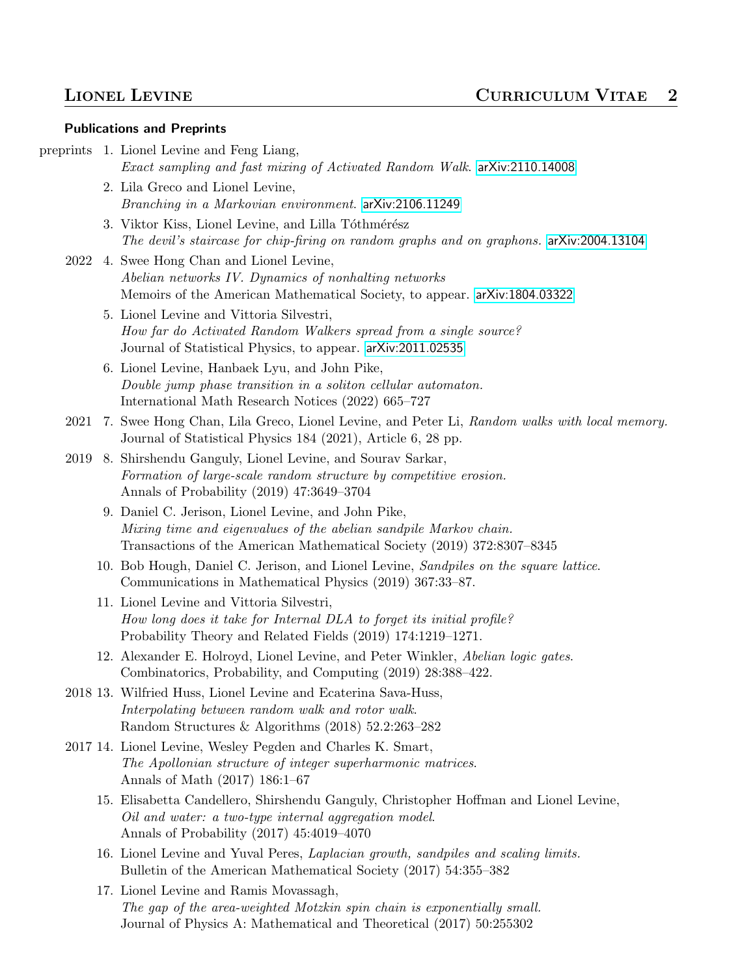#### Publications and Preprints

preprints 1. Lionel Levine and Feng Liang,

```
Exact sampling and fast mixing of Activated Random Walk. arXiv:2110.14008
```
- 2. Lila Greco and Lionel Levine, Branching in a Markovian environment. [arXiv:2106.11249](http://arxiv.org/abs/2106.11249)
- 3. Viktor Kiss, Lionel Levine, and Lilla Tóthmérész The devil's staircase for chip-firing on random graphs and on graphons. [arXiv:2004.13104](http://arxiv.org/abs/2004.13104)
- 2022 4. Swee Hong Chan and Lionel Levine, Abelian networks IV. Dynamics of nonhalting networks Memoirs of the American Mathematical Society, to appear. [arXiv:1804.03322](http://arxiv.org/abs/1804.03322)
	- 5. Lionel Levine and Vittoria Silvestri, How far do Activated Random Walkers spread from a single source? Journal of Statistical Physics, to appear. [arXiv:2011.02535](http://arxiv.org/abs/2011.02535)
	- 6. Lionel Levine, Hanbaek Lyu, and John Pike, Double jump phase transition in a soliton cellular automaton. International Math Research Notices (2022) 665–727
- 2021 7. Swee Hong Chan, Lila Greco, Lionel Levine, and Peter Li, Random walks with local memory. Journal of Statistical Physics 184 (2021), Article 6, 28 pp.
- 2019 8. Shirshendu Ganguly, Lionel Levine, and Sourav Sarkar, Formation of large-scale random structure by competitive erosion. Annals of Probability (2019) 47:3649–3704
	- 9. Daniel C. Jerison, Lionel Levine, and John Pike, Mixing time and eigenvalues of the abelian sandpile Markov chain. Transactions of the American Mathematical Society (2019) 372:8307–8345
	- 10. Bob Hough, Daniel C. Jerison, and Lionel Levine, Sandpiles on the square lattice. Communications in Mathematical Physics (2019) 367:33–87.
	- 11. Lionel Levine and Vittoria Silvestri, How long does it take for Internal DLA to forget its initial profile? Probability Theory and Related Fields (2019) 174:1219–1271.
	- 12. Alexander E. Holroyd, Lionel Levine, and Peter Winkler, Abelian logic gates. Combinatorics, Probability, and Computing (2019) 28:388–422.
- 2018 13. Wilfried Huss, Lionel Levine and Ecaterina Sava-Huss, Interpolating between random walk and rotor walk. Random Structures & Algorithms (2018) 52.2:263–282
- 2017 14. Lionel Levine, Wesley Pegden and Charles K. Smart, The Apollonian structure of integer superharmonic matrices. Annals of Math (2017) 186:1–67
	- 15. Elisabetta Candellero, Shirshendu Ganguly, Christopher Hoffman and Lionel Levine, Oil and water: a two-type internal aggregation model. Annals of Probability (2017) 45:4019–4070
	- 16. Lionel Levine and Yuval Peres, Laplacian growth, sandpiles and scaling limits. Bulletin of the American Mathematical Society (2017) 54:355–382
	- 17. Lionel Levine and Ramis Movassagh, The gap of the area-weighted Motzkin spin chain is exponentially small. Journal of Physics A: Mathematical and Theoretical (2017) 50:255302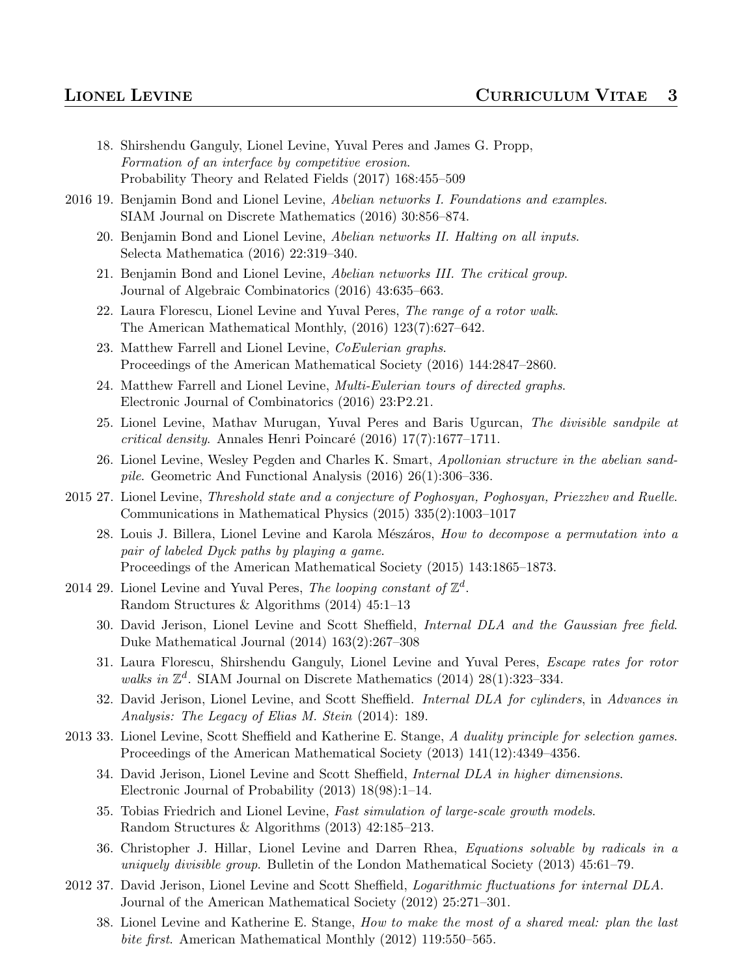- 18. Shirshendu Ganguly, Lionel Levine, Yuval Peres and James G. Propp, Formation of an interface by competitive erosion. Probability Theory and Related Fields (2017) 168:455–509
- 2016 19. Benjamin Bond and Lionel Levine, Abelian networks I. Foundations and examples. SIAM Journal on Discrete Mathematics (2016) 30:856–874.
	- 20. Benjamin Bond and Lionel Levine, Abelian networks II. Halting on all inputs. Selecta Mathematica (2016) 22:319–340.
	- 21. Benjamin Bond and Lionel Levine, Abelian networks III. The critical group. Journal of Algebraic Combinatorics (2016) 43:635–663.
	- 22. Laura Florescu, Lionel Levine and Yuval Peres, The range of a rotor walk. The American Mathematical Monthly, (2016) 123(7):627–642.
	- 23. Matthew Farrell and Lionel Levine, CoEulerian graphs. Proceedings of the American Mathematical Society (2016) 144:2847–2860.
	- 24. Matthew Farrell and Lionel Levine, Multi-Eulerian tours of directed graphs. Electronic Journal of Combinatorics (2016) 23:P2.21.
	- 25. Lionel Levine, Mathav Murugan, Yuval Peres and Baris Ugurcan, The divisible sandpile at critical density. Annales Henri Poincaré (2016) 17(7):1677–1711.
	- 26. Lionel Levine, Wesley Pegden and Charles K. Smart, Apollonian structure in the abelian sandpile. Geometric And Functional Analysis (2016) 26(1):306–336.
- 2015 27. Lionel Levine, Threshold state and a conjecture of Poghosyan, Poghosyan, Priezzhev and Ruelle. Communications in Mathematical Physics (2015) 335(2):1003–1017
	- 28. Louis J. Billera, Lionel Levine and Karola Mészáros, How to decompose a permutation into a pair of labeled Dyck paths by playing a game. Proceedings of the American Mathematical Society (2015) 143:1865–1873.
- 2014 29. Lionel Levine and Yuval Peres, The looping constant of  $\mathbb{Z}^d$ . Random Structures & Algorithms (2014) 45:1–13
	- 30. David Jerison, Lionel Levine and Scott Sheffield, Internal DLA and the Gaussian free field. Duke Mathematical Journal (2014) 163(2):267–308
	- 31. Laura Florescu, Shirshendu Ganguly, Lionel Levine and Yuval Peres, Escape rates for rotor walks in  $\mathbb{Z}^d$ . SIAM Journal on Discrete Mathematics (2014) 28(1):323-334.
	- 32. David Jerison, Lionel Levine, and Scott Sheffield. Internal DLA for cylinders, in Advances in Analysis: The Legacy of Elias M. Stein (2014): 189.
- 2013 33. Lionel Levine, Scott Sheffield and Katherine E. Stange, A duality principle for selection games. Proceedings of the American Mathematical Society (2013) 141(12):4349–4356.
	- 34. David Jerison, Lionel Levine and Scott Sheffield, Internal DLA in higher dimensions. Electronic Journal of Probability (2013) 18(98):1–14.
	- 35. Tobias Friedrich and Lionel Levine, Fast simulation of large-scale growth models. Random Structures & Algorithms (2013) 42:185–213.
	- 36. Christopher J. Hillar, Lionel Levine and Darren Rhea, Equations solvable by radicals in a uniquely divisible group. Bulletin of the London Mathematical Society (2013) 45:61–79.
- 2012 37. David Jerison, Lionel Levine and Scott Sheffield, *Logarithmic fluctuations for internal DLA*. Journal of the American Mathematical Society (2012) 25:271–301.
	- 38. Lionel Levine and Katherine E. Stange, How to make the most of a shared meal: plan the last bite first. American Mathematical Monthly (2012) 119:550–565.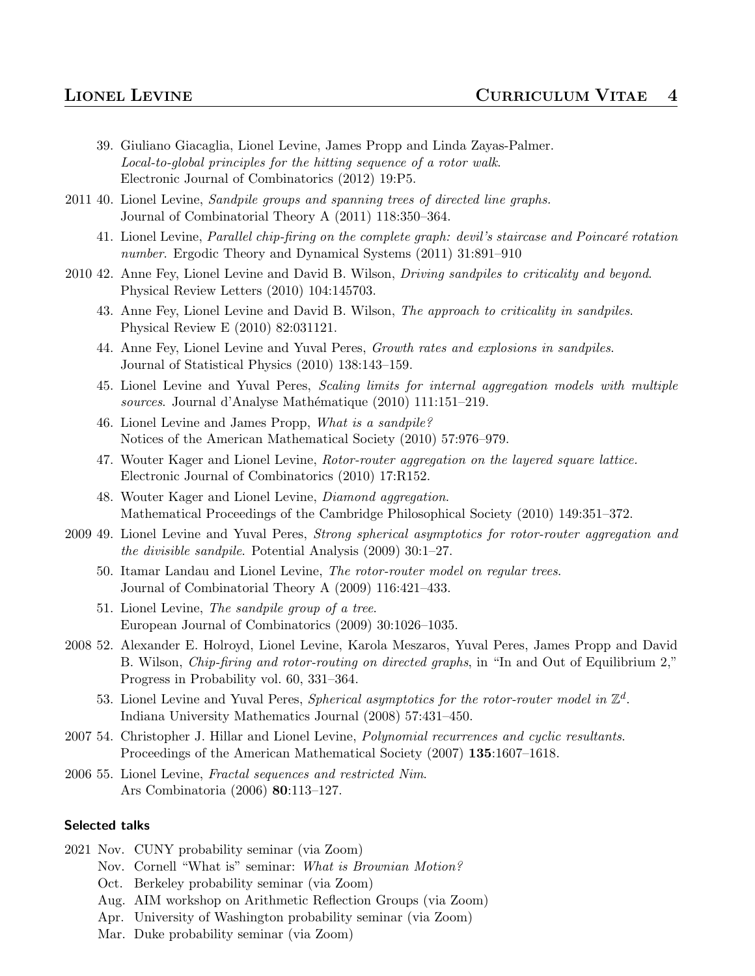- 39. Giuliano Giacaglia, Lionel Levine, James Propp and Linda Zayas-Palmer. Local-to-global principles for the hitting sequence of a rotor walk. Electronic Journal of Combinatorics (2012) 19:P5.
- 2011 40. Lionel Levine, Sandpile groups and spanning trees of directed line graphs. Journal of Combinatorial Theory A (2011) 118:350–364.
	- 41. Lionel Levine, Parallel chip-firing on the complete graph: devil's staircase and Poincaré rotation number. Ergodic Theory and Dynamical Systems (2011) 31:891-910
- 2010 42. Anne Fey, Lionel Levine and David B. Wilson, *Driving sandpiles to criticality and beyond*. Physical Review Letters (2010) 104:145703.
	- 43. Anne Fey, Lionel Levine and David B. Wilson, The approach to criticality in sandpiles. Physical Review E (2010) 82:031121.
	- 44. Anne Fey, Lionel Levine and Yuval Peres, Growth rates and explosions in sandpiles. Journal of Statistical Physics (2010) 138:143–159.
	- 45. Lionel Levine and Yuval Peres, Scaling limits for internal aggregation models with multiple sources. Journal d'Analyse Mathématique (2010) 111:151–219.
	- 46. Lionel Levine and James Propp, What is a sandpile? Notices of the American Mathematical Society (2010) 57:976–979.
	- 47. Wouter Kager and Lionel Levine, Rotor-router aggregation on the layered square lattice. Electronic Journal of Combinatorics (2010) 17:R152.
	- 48. Wouter Kager and Lionel Levine, Diamond aggregation. Mathematical Proceedings of the Cambridge Philosophical Society (2010) 149:351–372.
- 2009 49. Lionel Levine and Yuval Peres, Strong spherical asymptotics for rotor-router aggregation and the divisible sandpile. Potential Analysis (2009) 30:1–27.
	- 50. Itamar Landau and Lionel Levine, The rotor-router model on regular trees. Journal of Combinatorial Theory A (2009) 116:421–433.
	- 51. Lionel Levine, The sandpile group of a tree. European Journal of Combinatorics (2009) 30:1026–1035.
- 2008 52. Alexander E. Holroyd, Lionel Levine, Karola Meszaros, Yuval Peres, James Propp and David B. Wilson, Chip-firing and rotor-routing on directed graphs, in "In and Out of Equilibrium 2," Progress in Probability vol. 60, 331–364.
	- 53. Lionel Levine and Yuval Peres, Spherical asymptotics for the rotor-router model in  $\mathbb{Z}^d$ . Indiana University Mathematics Journal (2008) 57:431–450.
- 2007 54. Christopher J. Hillar and Lionel Levine, *Polynomial recurrences and cyclic resultants*. Proceedings of the American Mathematical Society (2007) 135:1607–1618.
- 2006 55. Lionel Levine, Fractal sequences and restricted Nim. Ars Combinatoria (2006) 80:113–127.

### Selected talks

- 2021 Nov. CUNY probability seminar (via Zoom)
	- Nov. Cornell "What is" seminar: What is Brownian Motion?
	- Oct. Berkeley probability seminar (via Zoom)
	- Aug. AIM workshop on Arithmetic Reflection Groups (via Zoom)
	- Apr. University of Washington probability seminar (via Zoom)
	- Mar. Duke probability seminar (via Zoom)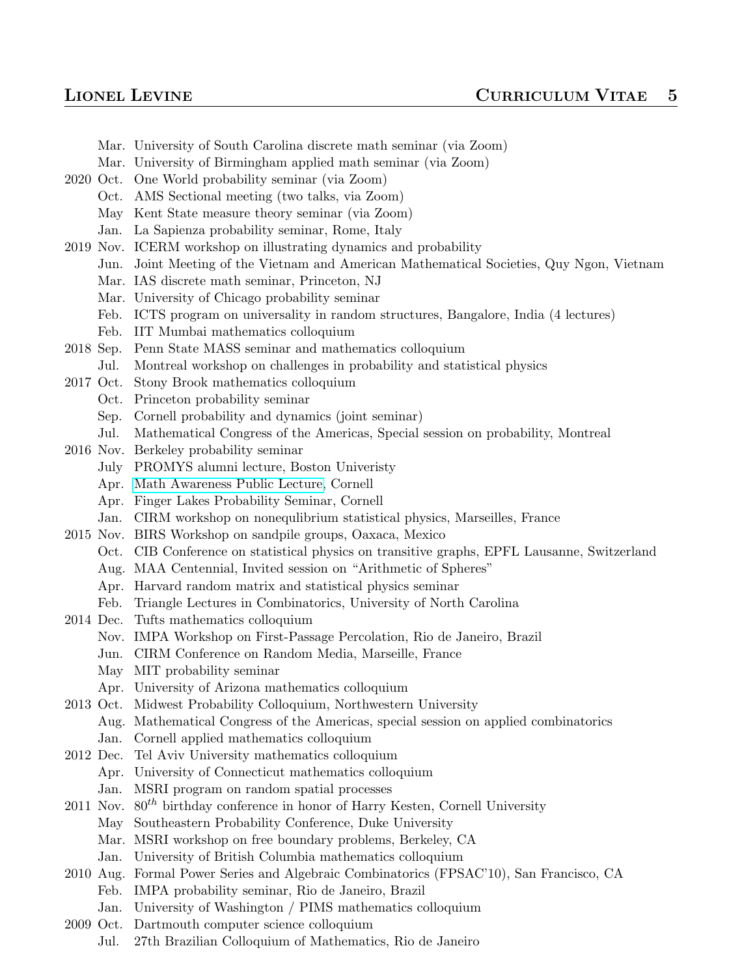- Mar. University of South Carolina discrete math seminar (via Zoom)
- Mar. University of Birmingham applied math seminar (via Zoom)
- 2020 Oct. One World probability seminar (via Zoom)
	- Oct. AMS Sectional meeting (two talks, via Zoom)
	- May Kent State measure theory seminar (via Zoom)
	- Jan. La Sapienza probability seminar, Rome, Italy
- 2019 Nov. ICERM workshop on illustrating dynamics and probability
	- Jun. Joint Meeting of the Vietnam and American Mathematical Societies, Quy Ngon, Vietnam
	- Mar. IAS discrete math seminar, Princeton, NJ
	- Mar. University of Chicago probability seminar
	- Feb. ICTS program on universality in random structures, Bangalore, India (4 lectures)
	- Feb. IIT Mumbai mathematics colloquium
- 2018 Sep. Penn State MASS seminar and mathematics colloquium
- Jul. Montreal workshop on challenges in probability and statistical physics
- 2017 Oct. Stony Brook mathematics colloquium
	- Oct. Princeton probability seminar
		- Sep. Cornell probability and dynamics (joint seminar)
		- Jul. Mathematical Congress of the Americas, Special session on probability, Montreal
- 2016 Nov. Berkeley probability seminar
	- July PROMYS alumni lecture, Boston Univeristy
	- Apr. [Math Awareness Public Lecture,](https://www.math.cornell.edu/m/Community/mam_lectures) Cornell
	- Apr. Finger Lakes Probability Seminar, Cornell
	- Jan. CIRM workshop on nonequlibrium statistical physics, Marseilles, France
- 2015 Nov. BIRS Workshop on sandpile groups, Oaxaca, Mexico
	- Oct. CIB Conference on statistical physics on transitive graphs, EPFL Lausanne, Switzerland
	- Aug. MAA Centennial, Invited session on "Arithmetic of Spheres"
	- Apr. Harvard random matrix and statistical physics seminar
	- Feb. Triangle Lectures in Combinatorics, University of North Carolina
- 2014 Dec. Tufts mathematics colloquium
	- Nov. IMPA Workshop on First-Passage Percolation, Rio de Janeiro, Brazil
	- Jun. CIRM Conference on Random Media, Marseille, France
	- May MIT probability seminar
	- Apr. University of Arizona mathematics colloquium
- 2013 Oct. Midwest Probability Colloquium, Northwestern University
	- Aug. Mathematical Congress of the Americas, special session on applied combinatorics
		- Jan. Cornell applied mathematics colloquium
- 2012 Dec. Tel Aviv University mathematics colloquium
	- Apr. University of Connecticut mathematics colloquium
	- Jan. MSRI program on random spatial processes
- 2011 Nov.  $80^{th}$  birthday conference in honor of Harry Kesten, Cornell University
	- May Southeastern Probability Conference, Duke University
		- Mar. MSRI workshop on free boundary problems, Berkeley, CA
		- Jan. University of British Columbia mathematics colloquium
- 2010 Aug. Formal Power Series and Algebraic Combinatorics (FPSAC'10), San Francisco, CA
	- Feb. IMPA probability seminar, Rio de Janeiro, Brazil
	- Jan. University of Washington / PIMS mathematics colloquium
- 2009 Oct. Dartmouth computer science colloquium
	- Jul. 27th Brazilian Colloquium of Mathematics, Rio de Janeiro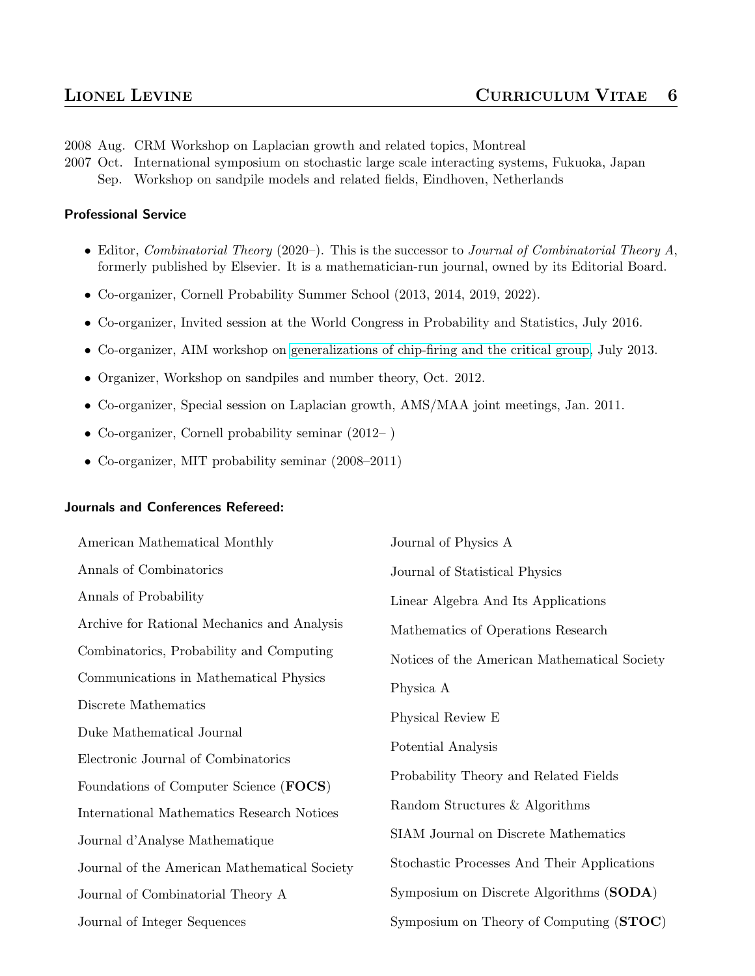2008 Aug. CRM Workshop on Laplacian growth and related topics, Montreal

2007 Oct. International symposium on stochastic large scale interacting systems, Fukuoka, Japan Sep. Workshop on sandpile models and related fields, Eindhoven, Netherlands

#### Professional Service

- Editor, Combinatorial Theory (2020–). This is the successor to Journal of Combinatorial Theory  $A$ , formerly published by Elsevier. It is a mathematician-run journal, owned by its Editorial Board.
- Co-organizer, Cornell Probability Summer School (2013, 2014, 2019, 2022).
- Co-organizer, Invited session at the World Congress in Probability and Statistics, July 2016.
- Co-organizer, AIM workshop on [generalizations of chip-firing and the critical group,](http://www.aimath.org/ARCC/workshops/chipfiring.html) July 2013.
- Organizer, Workshop on sandpiles and number theory, Oct. 2012.
- Co-organizer, Special session on Laplacian growth, AMS/MAA joint meetings, Jan. 2011.
- Co-organizer, Cornell probability seminar (2012– )
- Co-organizer, MIT probability seminar (2008–2011)

### Journals and Conferences Refereed:

| American Mathematical Monthly                | Journal of Physics A                         |
|----------------------------------------------|----------------------------------------------|
| Annals of Combinatorics                      | Journal of Statistical Physics               |
| Annals of Probability                        | Linear Algebra And Its Applications          |
| Archive for Rational Mechanics and Analysis  | Mathematics of Operations Research           |
| Combinatorics, Probability and Computing     | Notices of the American Mathematical Society |
| Communications in Mathematical Physics       | Physica A                                    |
| Discrete Mathematics                         | Physical Review E                            |
| Duke Mathematical Journal                    |                                              |
| Electronic Journal of Combinatorics          | Potential Analysis                           |
| Foundations of Computer Science (FOCS)       | Probability Theory and Related Fields        |
| International Mathematics Research Notices   | Random Structures & Algorithms               |
| Journal d'Analyse Mathematique               | SIAM Journal on Discrete Mathematics         |
| Journal of the American Mathematical Society | Stochastic Processes And Their Applications  |
| Journal of Combinatorial Theory A            | Symposium on Discrete Algorithms (SODA)      |
| Journal of Integer Sequences                 | Symposium on Theory of Computing (STOC)      |